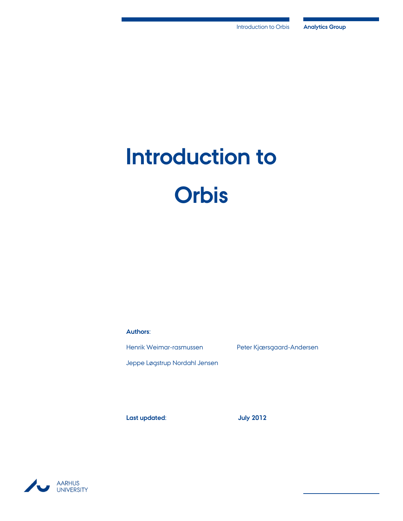# **Introduction to Orbis**

**Authors:**

Jeppe Løgstrup Nordahl Jensen

Henrik Weimar-rasmussen Peter Kjærsgaard-Andersen

**Last updated: July 2012**

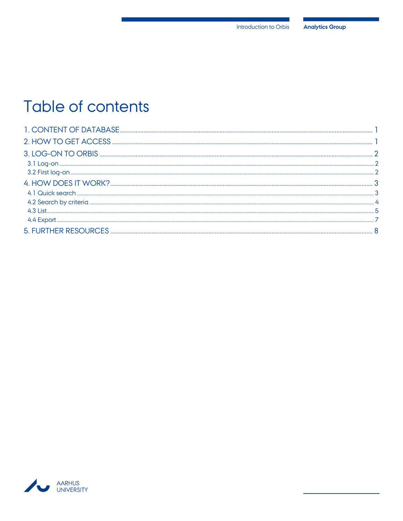## Table of contents

| <b>5. FURTHER RESOURCES</b> |  |
|-----------------------------|--|

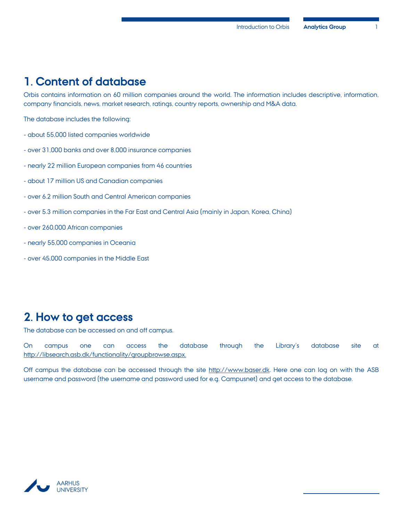## <span id="page-2-0"></span>**1. Content of database**

Orbis contains information on 60 million companies around the world. The information includes descriptive, information, company financials, news, market research, ratings, country reports, ownership and M&A data.

The database includes the following:

- about 55,000 listed companies worldwide
- over 31,000 banks and over 8,000 insurance companies
- nearly 22 million European companies from 46 countries
- about 17 million US and Canadian companies
- over 6.2 million South and Central American companies
- over 5.3 million companies in the Far East and Central Asia (mainly in Japan, Korea, China)
- over 260,000 African companies
- nearly 55,000 companies in Oceania
- over 45,000 companies in the Middle East

## <span id="page-2-1"></span>**2. How to get access**

The database can be accessed on and off campus.

On campus one can access the database through the Library's database site at [http://libsearch.asb.dk/functionality/groupbrowse.aspx.](http://libsearch.asb.dk/functionality/groupbrowse.aspx)

Off campus the database can be accessed through the site [http://www.baser.dk.](http://www.baser.dk/) Here one can log on with the ASB username and password (the username and password used for e.g. Campusnet) and get access to the database.

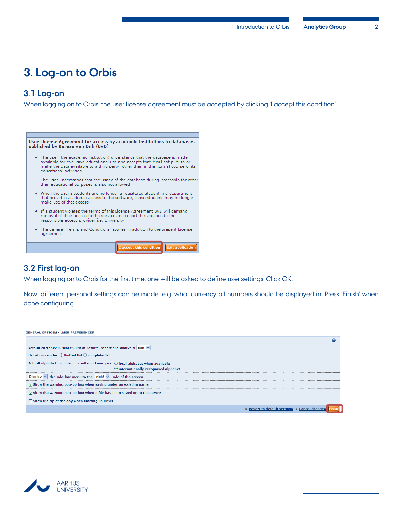## <span id="page-3-0"></span>**3. Log-on to Orbis**

#### <span id="page-3-1"></span>**3.1 Log-on**

When logging on to Orbis, the user license agreement must be accepted by clicking 'I accept this condition'.



#### <span id="page-3-2"></span>**3.2 First log-on**

When logging on to Orbis for the first time, one will be asked to define user settings. Click OK.

Now, different personal settings can be made, e.g. what currency all numbers should be displayed in. Press 'Finish' when done configuring.

| <b>GENERAL OPTIONS ▶ USER PREFERENCES</b>                                                   |
|---------------------------------------------------------------------------------------------|
|                                                                                             |
| Default currency in search, list of results, report and analysis: EUR $  \vee  $            |
| List of currencies: $\odot$ limited list $\bigcirc$ complete list                           |
| Default alphabet for data in results and analysis: $\bigcirc$ local alphabet when available |
| O internationally recognised alphabet                                                       |
| Display $\vee$ the side-bar menu to the right $\vee$ side of the screen                     |
| $\triangledown$ Show the warning pop-up box when saving under an existing name              |
| $\sqrt{ }$ Show the warning pop-up box when a file has been saved on to the server          |
| Show the tip of the day when starting up Orbis                                              |
| ▶ Revert to default settings ▶ Cancel changes                                               |

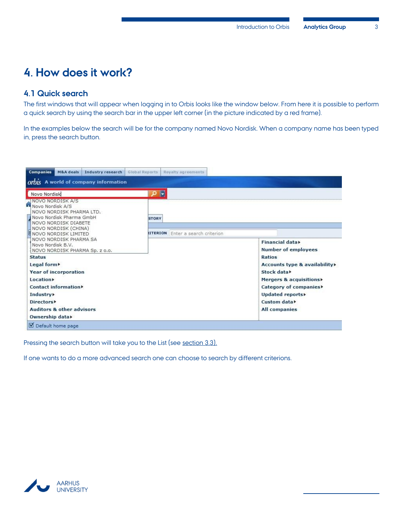## <span id="page-4-0"></span>**4. How does it work?**

#### <span id="page-4-1"></span>**4.1 Quick search**

The first windows that will appear when logging in to Orbis looks like the window below. From here it is possible to perform a quick search by using the search bar in the upper left corner (in the picture indicated by a red frame).

In the examples below the search will be for the company named Novo Nordisk. When a company name has been typed in, press the search button.

| Global Reports<br>Royalty agreements     |                                                                      |
|------------------------------------------|----------------------------------------------------------------------|
|                                          |                                                                      |
| F<br><b>STORY</b>                        |                                                                      |
| <b>IITERION</b> Enter a search criterion | Financial data><br><b>Number of employees</b>                        |
|                                          | Ratios<br>Accounts type & availability»<br>Stock data                |
|                                          | Mergers & acquisitions><br>Category of companies<br>Updated reports» |
|                                          | Custom data<br><b>All companies</b>                                  |
|                                          |                                                                      |

Pressing the search button will take you to the List (see [section 3.3\)](#page-5-1).

If one wants to do a more advanced search one can choose to search by different criterions.

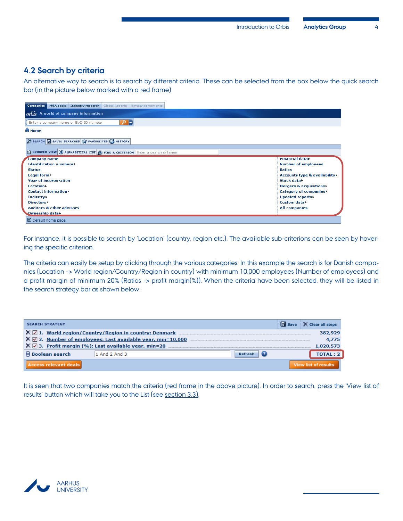#### <span id="page-5-0"></span>**4.2 Search by criteria**

An alternative way to search is to search by different criteria. These can be selected from the box below the quick search bar (in the picture below marked with a red frame)

| <b>Companies</b><br>M&A deals<br>Industry research<br><b>Global Reports</b><br>Rovalty agreements     |                               |
|-------------------------------------------------------------------------------------------------------|-------------------------------|
| orbis A world of company information                                                                  |                               |
| ┡<br>$\Omega$<br>Enter a company name or BvD ID number                                                |                               |
| <b>A</b> Home                                                                                         |                               |
| <b>D SEARCH TO SAVED SEARCHES</b> TRAVOURITES <b>THE</b> HISTORY                                      |                               |
| $\Box$ GROUPED VIEW $\bigcirc$ ALPHABETICAL LIST $\bigcirc$ FIND A CRITERION Enter a search criterion |                               |
| <b>Company name</b>                                                                                   | Financial data>               |
| <b>Identification numbers</b>                                                                         | <b>Number of employees</b>    |
| <b>Status</b>                                                                                         | <b>Ratios</b>                 |
| Legal form                                                                                            | Accounts type & availability> |
| <b>Year of incorporation</b>                                                                          | Stock data                    |
| <b>Location</b>                                                                                       | Mergers & acquisitions        |
| Contact information                                                                                   | Category of companies▶        |
| <b>Industry</b>                                                                                       | Updated reports>              |
| Directors <b>&gt;</b>                                                                                 | Custom data>                  |
| <b>Auditors &amp; other advisors</b>                                                                  | <b>All companies</b>          |
| Ownership data>                                                                                       |                               |
| D Default home page                                                                                   |                               |

For instance, it is possible to search by 'Location' (country, region etc.). The available sub-criterions can be seen by hovering the specific criterion.

The criteria can easily be setup by clicking through the various categories. In this example the search is for Danish companies (Location -> World region/Country/Region in country) with minimum 10,000 employees (Number of employees) and a profit margin of minimum 20% (Ratios -> profit margin(%)). When the criteria have been selected, they will be listed in the search strategy bar as shown below.

| <b>SEARCH STRATEGY</b>                                                                  | <b>Fo</b> Save | X Clear all steps           |  |  |  |  |  |
|-----------------------------------------------------------------------------------------|----------------|-----------------------------|--|--|--|--|--|
| $X \nabla$ 1. World region/Country/Region in country: Denmark                           |                | 382,929                     |  |  |  |  |  |
| $\mathsf{X} \boxtimes$ 2. Number of employees: Last available year, min=10,000<br>4.775 |                |                             |  |  |  |  |  |
| $\mathsf{X} \boxtimes$ 3. Profit margin (%): Last available year, min=20<br>1,020,573   |                |                             |  |  |  |  |  |
| <b>Boolean search</b><br>1 And 2 And 3<br>Refresh                                       |                | <b>TOTAL: 2</b>             |  |  |  |  |  |
| <b>Access relevant deals</b>                                                            |                | <b>View list of results</b> |  |  |  |  |  |

<span id="page-5-1"></span>It is seen that two companies match the criteria (red frame in the above picture). In order to search, press the 'View list of results' button which will take you to the List (see [section 3.3\)](#page-5-1).

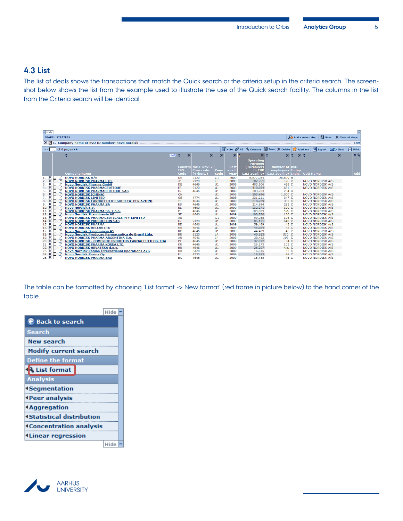#### <span id="page-6-0"></span>**4.3 List**

The list of deals shows the transactions that match the Quick search or the criteria setup in the criteria search. The screenshot below shows the list from the example used to illustrate the use of the Quick search facility. The columns in the list from the Criteria search will be identical.

| $-$ Hide     |                 |    |                                                                    |                       |            |                    |           |              |                  |                         |                  |                    |                                                                 |                   |
|--------------|-----------------|----|--------------------------------------------------------------------|-----------------------|------------|--------------------|-----------|--------------|------------------|-------------------------|------------------|--------------------|-----------------------------------------------------------------|-------------------|
|              |                 |    | <b>SEARCH STRATEGY</b>                                             |                       |            |                    |           |              |                  |                         |                  |                    | <b>R</b> Save<br>Add a search step                              | X Clear all steps |
|              |                 |    | $X \nabla$ 1. Company name or BvD ID number: novo nordisk          |                       |            |                    |           |              |                  |                         |                  |                    |                                                                 | 149               |
|              |                 |    | $\boxed{1}$ of 6 pages $\blacktriangleright$ $\blacktriangleright$ |                       |            |                    |           |              |                  |                         |                  |                    | Note PG & Columns ave X Delete A Alert me X Export 2 Send Print |                   |
|              |                 |    |                                                                    |                       |            |                    |           |              |                  |                         |                  |                    |                                                                 |                   |
|              |                 |    |                                                                    | <b>E</b> <sub>F</sub> | le         | $\mathsf{x}$       |           | $\mathsf{x}$ |                  |                         |                  | $\times$ $\approx$ |                                                                 | A                 |
|              |                 |    |                                                                    |                       |            |                    |           |              | <b>Operating</b> |                         |                  |                    |                                                                 |                   |
|              |                 |    |                                                                    |                       |            |                    |           |              | revenue          |                         |                  |                    |                                                                 |                   |
|              |                 |    |                                                                    |                       | Country    | <b>NACE Rev. 2</b> |           | Last         | (Turnover)       | Number of ByD           |                  |                    |                                                                 |                   |
|              |                 |    |                                                                    |                       | <b>ISO</b> | <b>Core</b> code   | Cons      | avail.       | th EUR           | employees Indep.        |                  |                    |                                                                 |                   |
|              |                 |    | <b>Company name</b>                                                |                       | Code       | $(4$ digits)       | code      | vear         | Last avail. yr   | Last avail. yr   Indic. |                  |                    | <b>GUO Name</b>                                                 | Add               |
|              | $\times$ $\Box$ |    | <b>NOVO NORDISK A/S</b>                                            |                       | <b>DK</b>  | 2120               | C1        | 2009         | 6,877,084        | 28,809 B+               |                  |                    |                                                                 |                   |
|              | ×□              |    | <b>NOVO NORDISK PHARMA LTD.</b>                                    |                       | JP.        | 2120               | LF.       | 2009         | 702,751          |                         | n.a. D           |                    | <b>NOVO NORDISK A/S</b>                                         |                   |
| 3.           |                 |    | <b>Novo Nordisk Pharma GmbH</b>                                    |                       | DE         | 4646               | U1        | 2008         | 483,606          |                         | 488 D            |                    | <b>NOVO NORDISK A/S</b>                                         |                   |
|              |                 |    | <b>NOVO NORDISK PHARMACEUTIOUE</b>                                 |                       | <b>FR</b>  | 2120               | U1        | 2003         | 410,694          |                         | $661 -$          |                    | <b>NOVO NORDISK A/S</b>                                         |                   |
| 5.           |                 |    | <b>NOVO NORDISK PHARMACEUTIQUE SAS</b>                             |                       | <b>FR</b>  | 4646               | U1        | 2009         | 303,783          |                         | 284 U            |                    |                                                                 |                   |
| 6.           |                 |    | <b>NOVO NORDISK (CHINA)</b>                                        |                       | CN         |                    | U1        | 2008         | 303,496          | $1,000$ $D$             |                  |                    | <b>NOVO NORDISK A/S</b>                                         |                   |
|              |                 |    | <b>NOVO NORDISK LIMITED</b>                                        |                       | <b>GB</b>  | 4774               | U1        | 2008         | 231,211          |                         | 347 D            |                    | <b>NOVO NORDISK A/S</b>                                         |                   |
| 8.<br>×      |                 |    | <b>NOVO NORDISK FARMACEUTICI SOCIETA' PER AZIONI</b>               |                       | <b>IT</b>  | 4646               | U1        | 2009         | 218,289          |                         | 302 D            |                    | <b>NOVO NORDISK A/S</b>                                         |                   |
| 9.           |                 |    | <b>NOVO NORDISK PHARMA SA</b>                                      |                       | <b>ES</b>  | 4646               | U1        | 2009         | 214.994          |                         | 283 D            |                    | <b>NOVO NORDISK A/S</b>                                         |                   |
| 10.          |                 |    | <b>Novo Nordisk B.V.</b>                                           |                       | <b>NL</b>  | 4600               | U1        | 2009         | 132,271          |                         | 100 D            |                    | <b>NOVO NORDISK A/S</b>                                         |                   |
| 11.          |                 |    | <b>NOVO NORDISK PHARMA Sp. z o.o.</b>                              |                       | PL         | 4646               | U1        | 2009         | 109,009          |                         | n.a. D           |                    | <b>NOVO NORDISK A/S</b>                                         |                   |
| 12.<br>13.   |                 |    | <b>Novo Nordisk Scandinavia AB</b>                                 |                       | <b>SE</b>  | 4646               | U1        | 2009         | 108,760          |                         | 156 D            |                    | <b>NOVO NORDISK A/S</b>                                         |                   |
|              |                 |    | NOVO NORDISK PHARMACEUTICALS PTY LIMITED                           |                       | AU         |                    | C1        | 2009         | 99,988           |                         | 106 <sub>D</sub> |                    | <b>NOVO NORDISK A/S</b>                                         |                   |
| 14.          |                 |    | <b>NOVO NORDISK PRODUCTION SAS</b>                                 |                       | FR.        | 2120               | U1        | 2009         | 85,171           |                         | 640 D            |                    | <b>NOVO NORDISK A/S</b>                                         |                   |
| 15.<br>×     |                 |    | <b>NOVO NORDISK PHARMA</b>                                         |                       | <b>BE</b>  | 4646               | U1        | 2009         | 59,469           |                         | 48 D             |                    | <b>NOVO NORDISK A/S</b>                                         |                   |
| 16. X        |                 |    | <b>NOVO NORDISK HELLAS LTD</b>                                     |                       | <b>GR</b>  | 4646               | U1        | 2009         | 45,684           |                         | 43 D             |                    | <b>NOVO NORDISK A/S</b>                                         |                   |
| 17. X        |                 |    | <b>Novo Nordisk Scandinavia AS</b>                                 |                       | <b>NO</b>  | 4646               | U1        | 2009         | 44,489           |                         | 46 D             |                    | <b>NOVO NORDISK A/S</b>                                         |                   |
| $18. \times$ |                 |    | Novo Nordisk Producao Farmaceutica do Brasil Ltda.                 |                       | <b>BR</b>  | 2120               | <b>IF</b> | 2008         | 40,163           |                         | 820 D            |                    | <b>NOVO NORDISK A/S</b>                                         |                   |
| 19           |                 |    | <b>NOVO NORDISK PHARMA ARGENTINA S.A.</b>                          |                       | <b>AR</b>  | 4646               | LF        | 2008         | 38,482           |                         | 108 D            |                    | <b>NOVO NORDISK A/S</b>                                         |                   |
| 20.          |                 |    | NOVO NORDISK - COMERCIO PRODUTOS FARMACEUTICOS, LDA                |                       | PT         | 4646               | U1        | 2009         | 32,072           |                         | 34 D             |                    | <b>NOVO NORDISK A/S</b>                                         |                   |
| 21.          |                 |    | <b>NOVO NORDISK PHARMA KOREA LTD.</b>                              |                       | <b>KR</b>  | 4646               | U1        | 2009         | 28,273           |                         | 103 D            |                    | <b>NOVO NORDISK A/S</b>                                         |                   |
| 22.<br>23.   |                 |    | NOVO NORDISK HRVATSKA d.o.o.                                       |                       | HR.        | 4646               | U1        | 2009         | 26,207           |                         | n.a. D           |                    | <b>NOVO NORDISK A/S</b>                                         |                   |
|              |                 |    | <b>Novo Nordisk Region International Operations A/S</b>            |                       | DK         | 6420               | U1        | 2009         | 16,615           |                         | 35 D             |                    | <b>NOVO NORDISK A/S</b>                                         |                   |
| 24.<br>×     |                 | M  | <b>Novo Nordisk Farma Oy</b>                                       |                       | FI         | 8230               | U1        | 2009         | 15,853           |                         | 66 D             |                    | <b>NOVO NORDISK A/S</b>                                         |                   |
| 25. $\times$ |                 | Ī7 | <b>NOVO NORDISK PHARMA EAD</b>                                     |                       | <b>BG</b>  | 4646               | U1        | 2009         | 15,488           |                         | 45 D             |                    | <b>NOVO NORDISK A/S</b>                                         |                   |

The table can be formatted by choosing 'List format -> New format' (red frame in picture below) to the hand corner of the table.

|                                 | Hide |  |
|---------------------------------|------|--|
| <b>C</b> Back to search         |      |  |
| <b>Search</b>                   |      |  |
| New search                      |      |  |
| <b>Modify current search</b>    |      |  |
| <b>Define the format</b>        |      |  |
| List format                     |      |  |
| <b>Analysis</b>                 |      |  |
| <b>4Segmentation</b>            |      |  |
| <b>Peer analysis</b>            |      |  |
| <b>4Aggregation</b>             |      |  |
| <b>Katistical distribution</b>  |      |  |
| <b>4 Concentration analysis</b> |      |  |
| <b>4Linear regression</b>       |      |  |
|                                 | Hide |  |

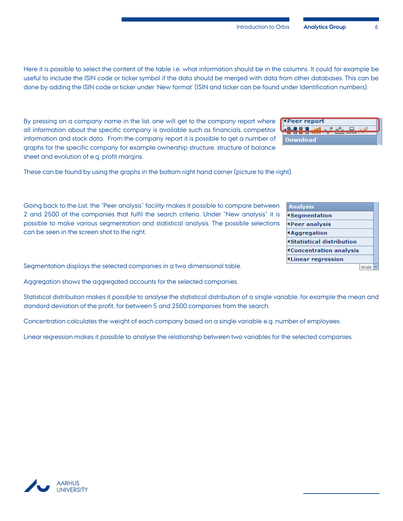#### **Introduction to Orbis Analytics Group**

Here it is possible to select the content of the table i.e. what information should be in the columns. It could for example be useful to include the ISIN code or ticker symbol if the data should be merged with data from other databases. This can be done by adding the ISIN code or ticker under 'New format' (ISIN and ticker can be found under Identification numbers).

By pressing on a company name in the list, one will get to the company report where all information about the specific company is available such as financials, competitor information and stock data. From the company report it is possible to get a number of graphs for the specific company for example ownership structure, structure of balance sheet and evolution of e.g. profit margins.

These can be found by using the graphs in the bottom right hand corner (picture to the right).

Going back to the List, the "Peer analysis" facility makes it possible to compare between 2 and 2500 of the companies that fulfil the search criteria. Under "New analysis" it is possible to make various segmentation and statistical analysis. The possible selections can be seen in the screen shot to the right.

Segmentation displays the selected companies in a two dimensional table.

Aggregation shows the aggregated accounts for the selected companies.

Statistical distribution makes it possible to analyse the statistical distribution of a single variable, for example the mean and standard deviation of the profit, for between 5 and 2500 companies from the search.

Concentration calculates the weight of each company based on a single variable e.g. number of employees.

Linear regression makes it possible to analyse the relationship between two variables for the selected companies.

| ght). |        |  |  |  |
|-------|--------|--|--|--|
|       | $\sim$ |  |  |  |

| Analysis                         |  |
|----------------------------------|--|
| <b>4Segmentation</b>             |  |
| <b><i>APeer analysis</i></b>     |  |
| <b>4Aggregation</b>              |  |
| <b>4Statistical distribution</b> |  |
| <b>4Concentration analysis</b>   |  |
| <b>4Linear regression</b>        |  |
|                                  |  |

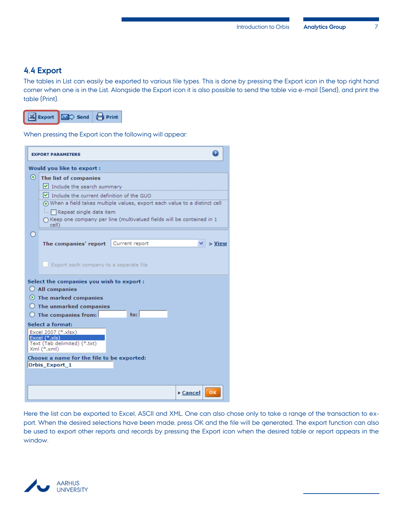#### <span id="page-8-0"></span>**4.4 Export**

The tables in List can easily be exported to various file types. This is done by pressing the Export icon in the top right hand corner when one is in the List. Alongside the Export icon it is also possible to send the table via e-mail (Send), and print the table (Print).



When pressing the Export icon the following will appear:

|         | <b>EXPORT PARAMETERS</b>                                                     |                                                                                 |  |  |  |  |  |  |  |  |
|---------|------------------------------------------------------------------------------|---------------------------------------------------------------------------------|--|--|--|--|--|--|--|--|
|         | Would you like to export:                                                    |                                                                                 |  |  |  |  |  |  |  |  |
| $\circ$ | The list of companies                                                        |                                                                                 |  |  |  |  |  |  |  |  |
|         | $\vee$ Include the search summary                                            |                                                                                 |  |  |  |  |  |  |  |  |
|         | $\triangleright$ Include the current definition of the GUO                   |                                                                                 |  |  |  |  |  |  |  |  |
|         | (•) When a field takes multiple values, export each value to a distinct cell |                                                                                 |  |  |  |  |  |  |  |  |
|         | Repeat single data item                                                      |                                                                                 |  |  |  |  |  |  |  |  |
|         | _cell)                                                                       | $\bigcirc$ Keep one company per line (multivalued fields will be contained in 1 |  |  |  |  |  |  |  |  |
|         |                                                                              |                                                                                 |  |  |  |  |  |  |  |  |
|         | The companies' report                                                        | Current report<br>$>$ View                                                      |  |  |  |  |  |  |  |  |
|         | Export each company to a separate file                                       |                                                                                 |  |  |  |  |  |  |  |  |
|         | Select the companies you wish to export:                                     |                                                                                 |  |  |  |  |  |  |  |  |
|         | $\bigcirc$ All companies                                                     |                                                                                 |  |  |  |  |  |  |  |  |
|         | $\odot$ The marked companies                                                 |                                                                                 |  |  |  |  |  |  |  |  |
|         | $\bigcirc$ The unmarked companies                                            |                                                                                 |  |  |  |  |  |  |  |  |
|         | $\bigcirc$ The companies from:                                               | $\mathsf{to}$ :                                                                 |  |  |  |  |  |  |  |  |
|         | <b>Select a format:</b>                                                      |                                                                                 |  |  |  |  |  |  |  |  |
|         | Excel 2007 (*.xlsx)<br>Excel (*.xls)                                         |                                                                                 |  |  |  |  |  |  |  |  |
|         | Text (Tab delimited) (*.txt)                                                 |                                                                                 |  |  |  |  |  |  |  |  |
|         | Xml (*.xml)                                                                  |                                                                                 |  |  |  |  |  |  |  |  |
|         | Choose a name for the file to be exported:<br>Orbis_Export_1                 |                                                                                 |  |  |  |  |  |  |  |  |
|         |                                                                              |                                                                                 |  |  |  |  |  |  |  |  |

Here the list can be exported to Excel, ASCII and XML. One can also chose only to take a range of the transaction to export. When the desired selections have been made, press OK and the file will be generated. The export function can also be used to export other reports and records by pressing the Export icon when the desired table or report appears in the window.

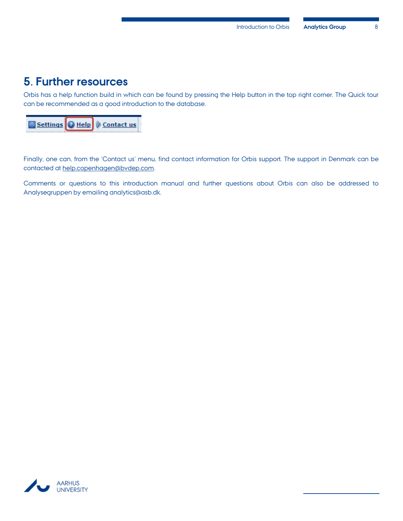### <span id="page-9-0"></span>**5. Further resources**

Orbis has a help function build in which can be found by pressing the Help button in the top right corner. The Quick tour can be recommended as a good introduction to the database.

| Settings   Help   Contact us |  |  |  |  |
|------------------------------|--|--|--|--|
|------------------------------|--|--|--|--|

Finally, one can, from the 'Contact us' menu, find contact information for Orbis support. The support in Denmark can be contacted at [help.copenhagen@bvdep.com.](mailto:help.copenhagen@bvdep.com)

Comments or questions to this introduction manual and further questions about Orbis can also be addressed to Analysegruppen by emailing analytics@asb.dk.